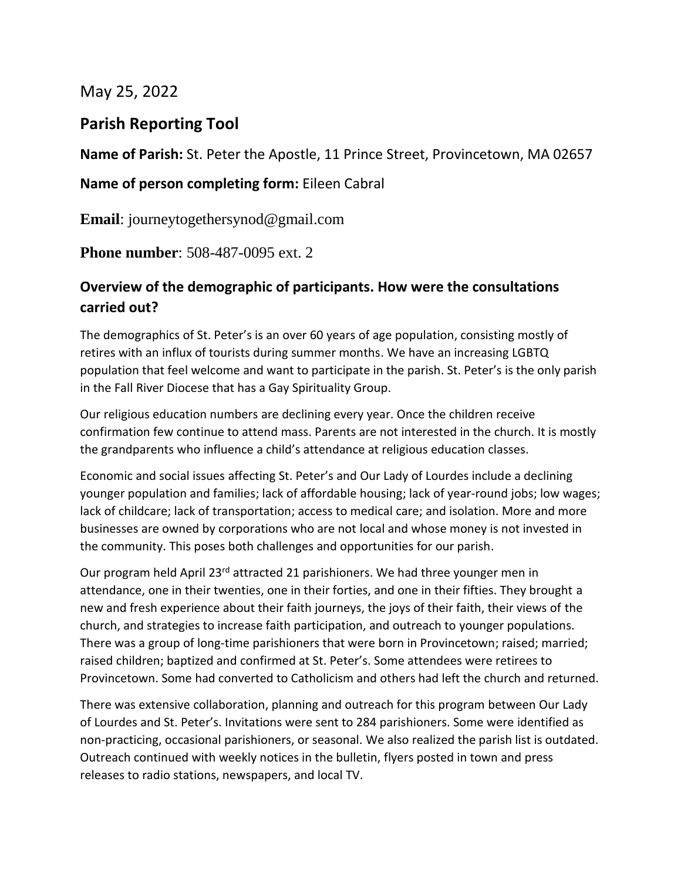May 25, 2022

### **Parish Reporting Tool**

**Name of Parish:** St. Peter the Apostle, 11 Prince Street, Provincetown, MA 02657

#### **Name of person completing form:** Eileen Cabral

**Email**: journeytogethersynod@gmail.com

**Phone number**: 508-487-0095 ext. 2

### **Overview of the demographic of participants. How were the consultations carried out?**

The demographics of St. Peter's is an over 60 years of age population, consisting mostly of retires with an influx of tourists during summer months. We have an increasing LGBTQ population that feel welcome and want to participate in the parish. St. Peter's is the only parish in the Fall River Diocese that has a Gay Spirituality Group.

Our religious education numbers are declining every year. Once the children receive confirmation few continue to attend mass. Parents are not interested in the church. It is mostly the grandparents who influence a child's attendance at religious education classes.

Economic and social issues affecting St. Peter's and Our Lady of Lourdes include a declining younger population and families; lack of affordable housing; lack of year-round jobs; low wages; lack of childcare; lack of transportation; access to medical care; and isolation. More and more businesses are owned by corporations who are not local and whose money is not invested in the community. This poses both challenges and opportunities for our parish.

Our program held April 23<sup>rd</sup> attracted 21 parishioners. We had three younger men in attendance, one in their twenties, one in their forties, and one in their fifties. They brought a new and fresh experience about their faith journeys, the joys of their faith, their views of the church, and strategies to increase faith participation, and outreach to younger populations. There was a group of long-time parishioners that were born in Provincetown; raised; married; raised children; baptized and confirmed at St. Peter's. Some attendees were retirees to Provincetown. Some had converted to Catholicism and others had left the church and returned.

There was extensive collaboration, planning and outreach for this program between Our Lady of Lourdes and St. Peter's. Invitations were sent to 284 parishioners. Some were identified as non-practicing, occasional parishioners, or seasonal. We also realized the parish list is outdated. Outreach continued with weekly notices in the bulletin, flyers posted in town and press releases to radio stations, newspapers, and local TV.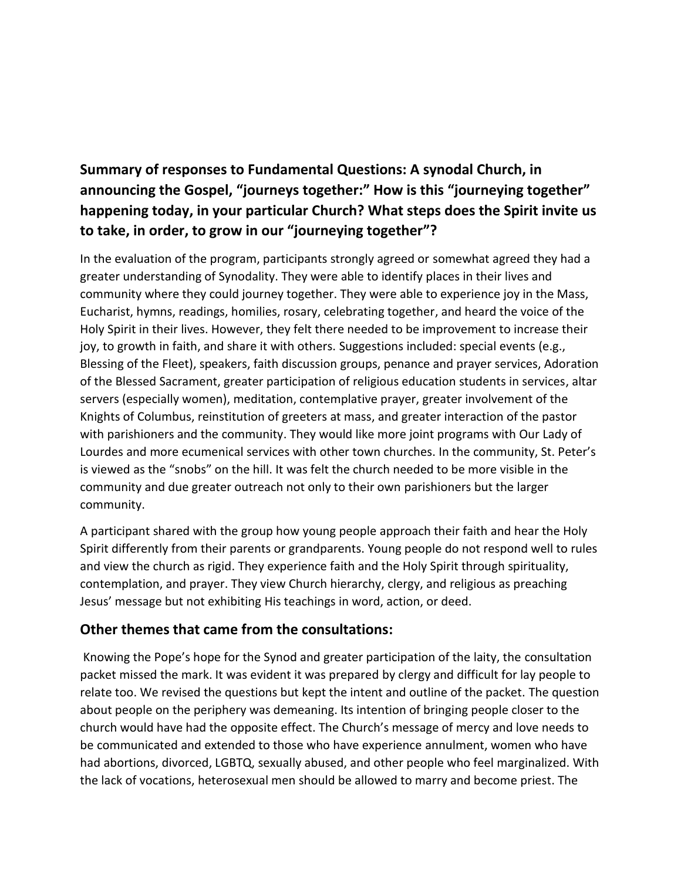# **Summary of responses to Fundamental Questions: A synodal Church, in announcing the Gospel, "journeys together:" How is this "journeying together" happening today, in your particular Church? What steps does the Spirit invite us to take, in order, to grow in our "journeying together"?**

In the evaluation of the program, participants strongly agreed or somewhat agreed they had a greater understanding of Synodality. They were able to identify places in their lives and community where they could journey together. They were able to experience joy in the Mass, Eucharist, hymns, readings, homilies, rosary, celebrating together, and heard the voice of the Holy Spirit in their lives. However, they felt there needed to be improvement to increase their joy, to growth in faith, and share it with others. Suggestions included: special events (e.g., Blessing of the Fleet), speakers, faith discussion groups, penance and prayer services, Adoration of the Blessed Sacrament, greater participation of religious education students in services, altar servers (especially women), meditation, contemplative prayer, greater involvement of the Knights of Columbus, reinstitution of greeters at mass, and greater interaction of the pastor with parishioners and the community. They would like more joint programs with Our Lady of Lourdes and more ecumenical services with other town churches. In the community, St. Peter's is viewed as the "snobs" on the hill. It was felt the church needed to be more visible in the community and due greater outreach not only to their own parishioners but the larger community.

A participant shared with the group how young people approach their faith and hear the Holy Spirit differently from their parents or grandparents. Young people do not respond well to rules and view the church as rigid. They experience faith and the Holy Spirit through spirituality, contemplation, and prayer. They view Church hierarchy, clergy, and religious as preaching Jesus' message but not exhibiting His teachings in word, action, or deed.

#### **Other themes that came from the consultations:**

Knowing the Pope's hope for the Synod and greater participation of the laity, the consultation packet missed the mark. It was evident it was prepared by clergy and difficult for lay people to relate too. We revised the questions but kept the intent and outline of the packet. The question about people on the periphery was demeaning. Its intention of bringing people closer to the church would have had the opposite effect. The Church's message of mercy and love needs to be communicated and extended to those who have experience annulment, women who have had abortions, divorced, LGBTQ, sexually abused, and other people who feel marginalized. With the lack of vocations, heterosexual men should be allowed to marry and become priest. The